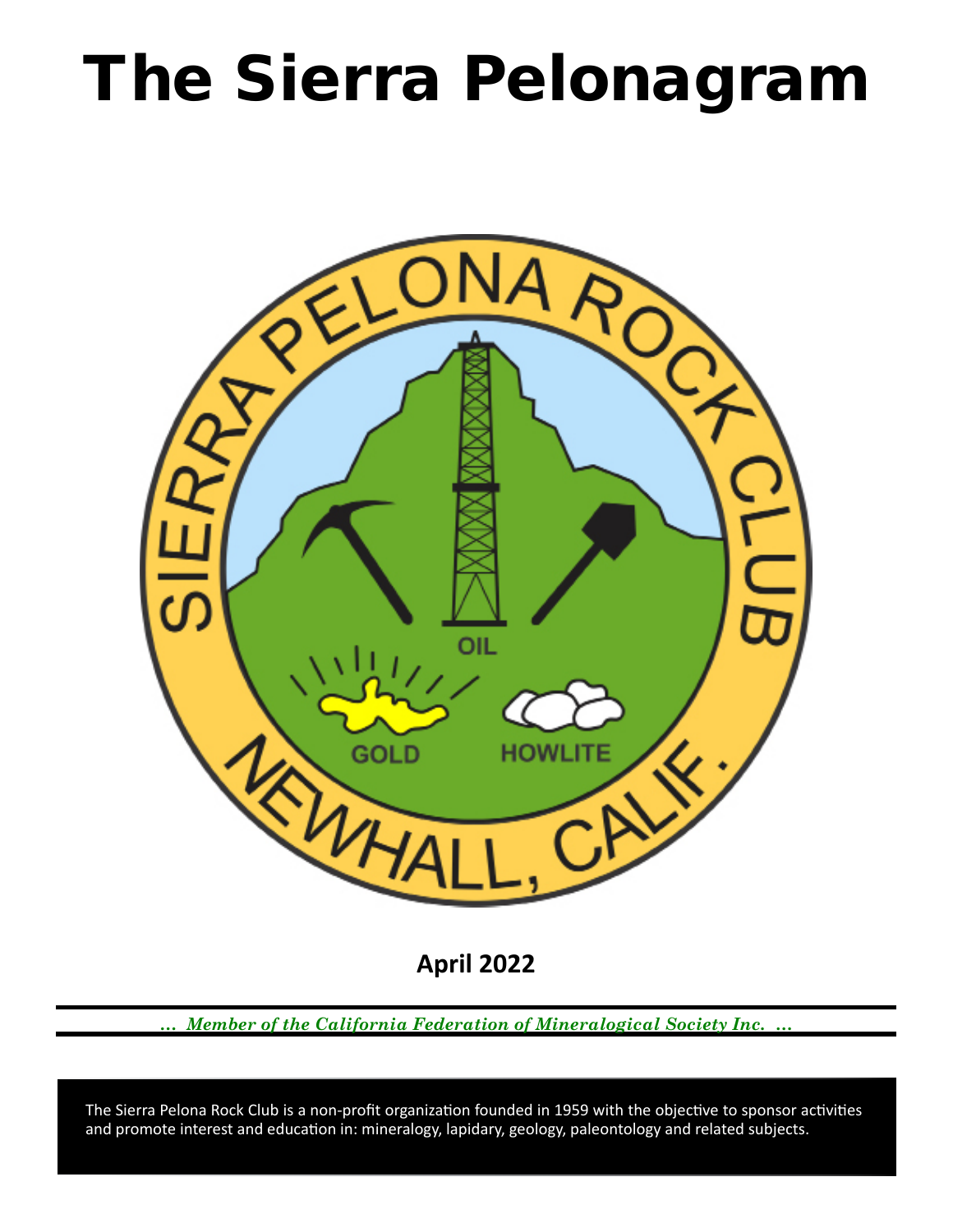# The Sierra Pelonagram



**April 2022**

*… Member of the California Federation of Mineralogical Society Inc. …*

 and promote interest and education in: mineralogy, lapidary, geology, paleontology and related subjects. The Sierra Pelona Rock Club is a non-profit organization founded in 1959 with the objective to sponsor activities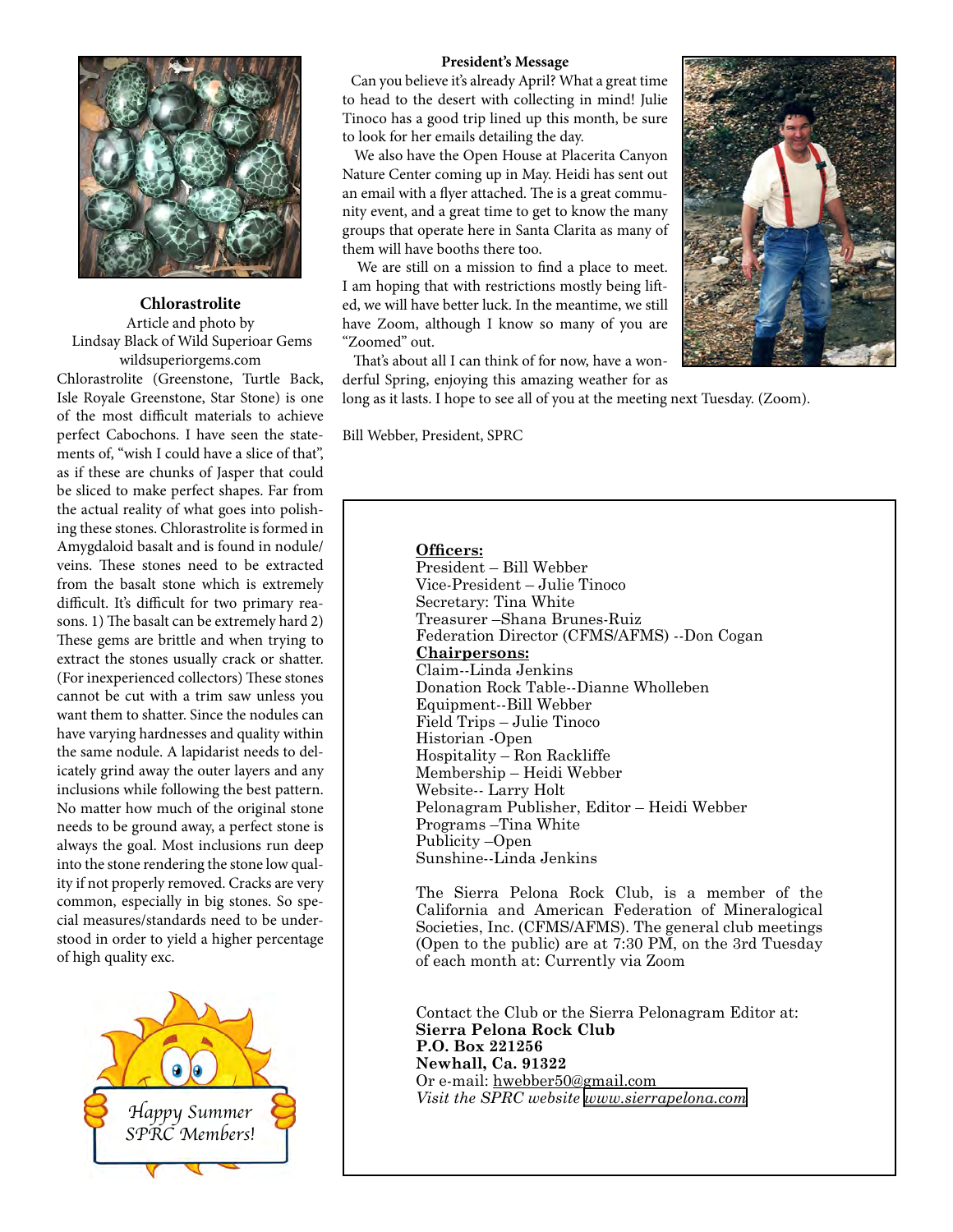

**Chlorastrolite** Article and photo by Lindsay Black of Wild Superioar Gems wildsuperiorgems.com

Chlorastrolite (Greenstone, Turtle Back, Isle Royale Greenstone, Star Stone) is one of the most difficult materials to achieve perfect Cabochons. I have seen the statements of, "wish I could have a slice of that", as if these are chunks of Jasper that could be sliced to make perfect shapes. Far from the actual reality of what goes into polishing these stones. Chlorastrolite is formed in Amygdaloid basalt and is found in nodule/ veins. These stones need to be extracted from the basalt stone which is extremely difficult. It's difficult for two primary reasons. 1) The basalt can be extremely hard 2) These gems are brittle and when trying to extract the stones usually crack or shatter. (For inexperienced collectors) These stones cannot be cut with a trim saw unless you want them to shatter. Since the nodules can have varying hardnesses and quality within the same nodule. A lapidarist needs to delicately grind away the outer layers and any inclusions while following the best pattern. No matter how much of the original stone needs to be ground away, a perfect stone is always the goal. Most inclusions run deep into the stone rendering the stone low quality if not properly removed. Cracks are very common, especially in big stones. So special measures/standards need to be understood in order to yield a higher percentage of high quality exc.



#### **President's Message**

 Can you believe it's already April? What a great time to head to the desert with collecting in mind! Julie Tinoco has a good trip lined up this month, be sure to look for her emails detailing the day.

 We also have the Open House at Placerita Canyon Nature Center coming up in May. Heidi has sent out an email with a flyer attached. The is a great community event, and a great time to get to know the many groups that operate here in Santa Clarita as many of them will have booths there too.

 We are still on a mission to find a place to meet. I am hoping that with restrictions mostly being lifted, we will have better luck. In the meantime, we still have Zoom, although I know so many of you are "Zoomed" out.

 That's about all I can think of for now, have a wonderful Spring, enjoying this amazing weather for as

long as it lasts. I hope to see all of you at the meeting next Tuesday. (Zoom).

Bill Webber, President, SPRC

## **Officers:**

President – Bill Webber Vice‑President – Julie Tinoco Secretary: Tina White Treasurer –Shana Brunes-Ruiz Federation Director (CFMS/AFMS) --Don Cogan **Chairpersons:** Claim--Linda Jenkins Donation Rock Table--Dianne Wholleben Equipment--Bill Webber Field Trips – Julie Tinoco Historian ‑Open Hospitality – Ron Rackliffe Membership – Heidi Webber Website-- Larry Holt Pelonagram Publisher, Editor – Heidi Webber Programs –Tina White Publicity –Open Sunshine--Linda Jenkins

The Sierra Pelona Rock Club, is a member of the California and American Federation of Mineralogical Societies, Inc. (CFMS/AFMS). The general club meetings (Open to the public) are at 7:30 PM, on the 3rd Tuesday of each month at: Currently via Zoom

Contact the Club or the Sierra Pelonagram Editor at: **Sierra Pelona Rock Club P.O. Box 221256 Newhall, Ca. 91322** Or e‑mail: hwebber50@gmail.com *Visit the SPRC website [www.sierrapelona.com](http://www.sierrapelona.com/)*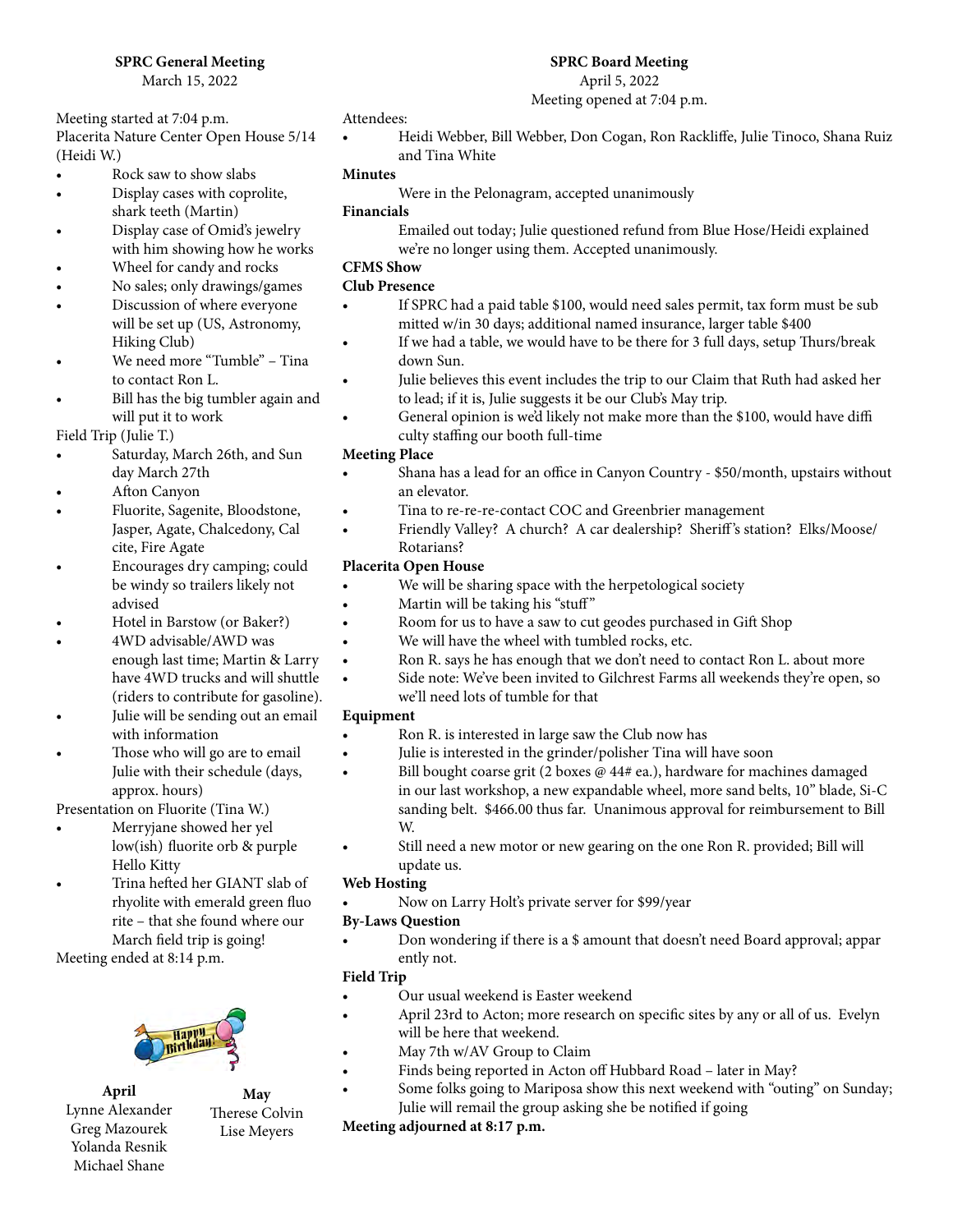## **SPRC General Meeting**

March 15, 2022

Meeting started at 7:04 p.m. Placerita Nature Center Open House 5/14 (Heidi W.)

- Rock saw to show slabs
- Display cases with coprolite, shark teeth (Martin)
- Display case of Omid's jewelry with him showing how he works
- Wheel for candy and rocks
- No sales; only drawings/games
- Discussion of where everyone will be set up (US, Astronomy, Hiking Club)
- We need more "Tumble" Tina to contact Ron L.
- Bill has the big tumbler again and will put it to work
- Field Trip (Julie T.)
- Saturday, March 26th, and Sun day March 27th
- Afton Canyon
- Fluorite, Sagenite, Bloodstone, Jasper, Agate, Chalcedony, Cal cite, Fire Agate
- Encourages dry camping; could be windy so trailers likely not advised
- Hotel in Barstow (or Baker?)
- 4WD advisable/AWD was enough last time; Martin & Larry have 4WD trucks and will shuttle (riders to contribute for gasoline).
- Julie will be sending out an email with information
- Those who will go are to email Julie with their schedule (days, approx. hours)

Presentation on Fluorite (Tina W.)

- Merryjane showed her yel low(ish) fluorite orb & purple Hello Kitty
- Trina hefted her GIANT slab of rhyolite with emerald green fluo rite – that she found where our March field trip is going!

Meeting ended at 8:14 p.m.



**April** Lynne Alexander Greg Mazourek Yolanda Resnik Michael Shane

**May** Therese Colvin Lise Meyers

### Attendees:

• Heidi Webber, Bill Webber, Don Cogan, Ron Rackliffe, Julie Tinoco, Shana Ruiz and Tina White

### **Minutes**

Were in the Pelonagram, accepted unanimously

### **Financials**

Emailed out today; Julie questioned refund from Blue Hose/Heidi explained we're no longer using them. Accepted unanimously.

## **CFMS Show**

## **Club Presence**

- If SPRC had a paid table \$100, would need sales permit, tax form must be sub mitted w/in 30 days; additional named insurance, larger table \$400
- If we had a table, we would have to be there for 3 full days, setup Thurs/break down Sun.
- Julie believes this event includes the trip to our Claim that Ruth had asked her to lead; if it is, Julie suggests it be our Club's May trip.
- General opinion is we'd likely not make more than the \$100, would have diffi culty staffing our booth full-time

## **Meeting Place**

- Shana has a lead for an office in Canyon Country \$50/month, upstairs without an elevator.
- Tina to re-re-re-contact COC and Greenbrier management
- Friendly Valley? A church? A car dealership? Sheriff's station? Elks/Moose/ Rotarians?

## **Placerita Open House**

- We will be sharing space with the herpetological society
- Martin will be taking his "stuff"
- Room for us to have a saw to cut geodes purchased in Gift Shop
- We will have the wheel with tumbled rocks, etc.
- Ron R. says he has enough that we don't need to contact Ron L. about more
- Side note: We've been invited to Gilchrest Farms all weekends they're open, so we'll need lots of tumble for that

## **Equipment**

- Ron R. is interested in large saw the Club now has
- Julie is interested in the grinder/polisher Tina will have soon
- Bill bought coarse grit (2 boxes @ 44# ea.), hardware for machines damaged in our last workshop, a new expandable wheel, more sand belts, 10" blade, Si-C sanding belt. \$466.00 thus far. Unanimous approval for reimbursement to Bill W.
- Still need a new motor or new gearing on the one Ron R. provided; Bill will update us.

## **Web Hosting**

• Now on Larry Holt's private server for \$99/year

## **By-Laws Question**

• Don wondering if there is a \$ amount that doesn't need Board approval; appar ently not.

## **Field Trip**

- Our usual weekend is Easter weekend
- April 23rd to Acton; more research on specific sites by any or all of us. Evelyn will be here that weekend.
- May 7th w/AV Group to Claim
- Finds being reported in Acton off Hubbard Road later in May?
- Some folks going to Mariposa show this next weekend with "outing" on Sunday; Julie will remail the group asking she be notified if going

## **Meeting adjourned at 8:17 p.m.**

**SPRC Board Meeting** April 5, 2022

Meeting opened at 7:04 p.m.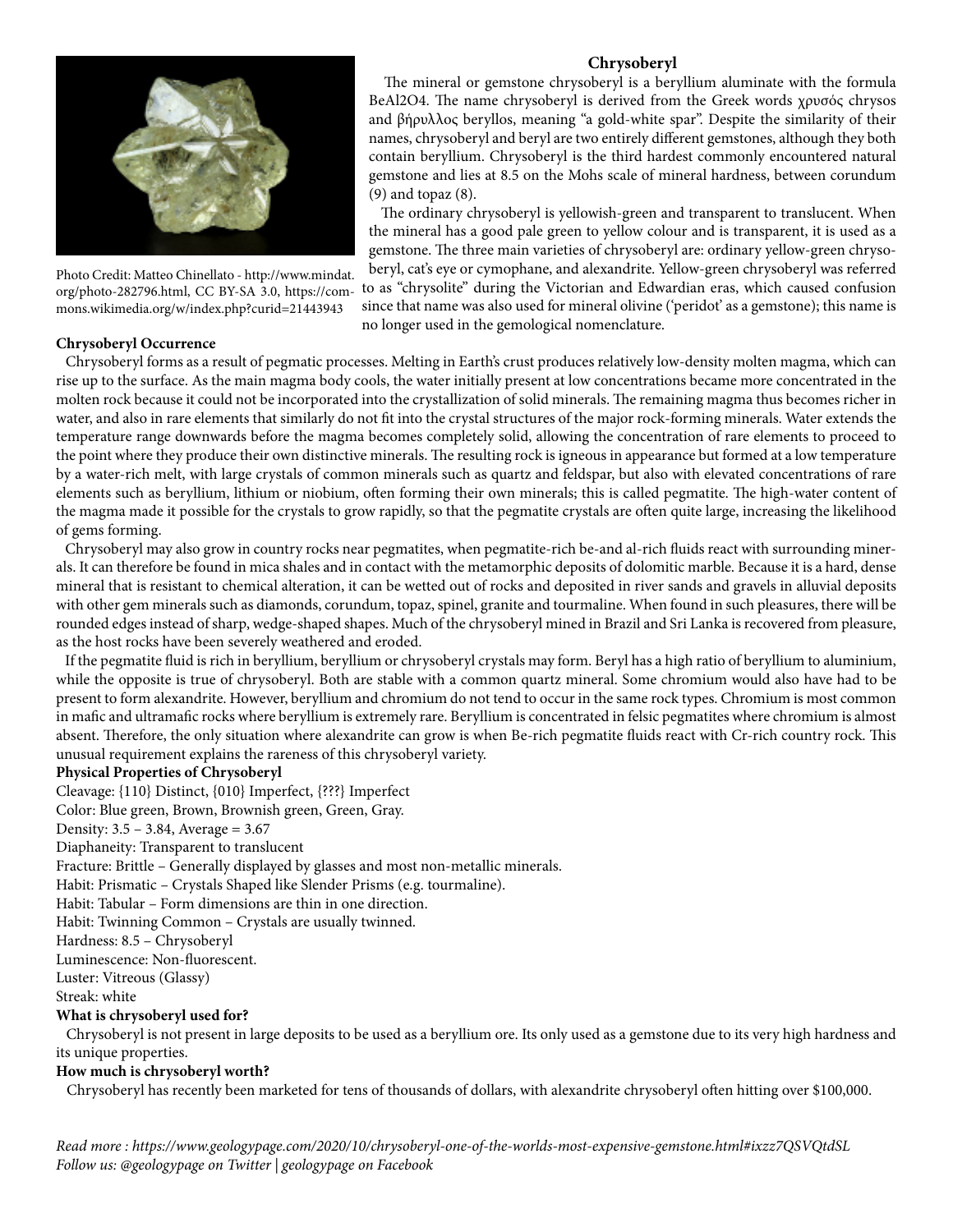

Photo Credit: Matteo Chinellato - http://www.mindat. org/photo-282796.html, CC BY-SA 3.0, https://commons.wikimedia.org/w/index.php?curid=21443943

### **Chrysoberyl Occurrence**

## **Chrysoberyl**

 The mineral or gemstone chrysoberyl is a beryllium aluminate with the formula BeAl2O4. The name chrysoberyl is derived from the Greek words χρυσός chrysos and βήρυλλος beryllos, meaning "a gold-white spar". Despite the similarity of their names, chrysoberyl and beryl are two entirely different gemstones, although they both contain beryllium. Chrysoberyl is the third hardest commonly encountered natural gemstone and lies at 8.5 on the Mohs scale of mineral hardness, between corundum (9) and topaz (8).

 The ordinary chrysoberyl is yellowish-green and transparent to translucent. When the mineral has a good pale green to yellow colour and is transparent, it is used as a gemstone. The three main varieties of chrysoberyl are: ordinary yellow-green chrysoberyl, cat's eye or cymophane, and alexandrite. Yellow-green chrysoberyl was referred to as "chrysolite" during the Victorian and Edwardian eras, which caused confusion

since that name was also used for mineral olivine ('peridot' as a gemstone); this name is no longer used in the gemological nomenclature.

 Chrysoberyl forms as a result of pegmatic processes. Melting in Earth's crust produces relatively low-density molten magma, which can rise up to the surface. As the main magma body cools, the water initially present at low concentrations became more concentrated in the molten rock because it could not be incorporated into the crystallization of solid minerals. The remaining magma thus becomes richer in water, and also in rare elements that similarly do not fit into the crystal structures of the major rock-forming minerals. Water extends the temperature range downwards before the magma becomes completely solid, allowing the concentration of rare elements to proceed to the point where they produce their own distinctive minerals. The resulting rock is igneous in appearance but formed at a low temperature by a water-rich melt, with large crystals of common minerals such as quartz and feldspar, but also with elevated concentrations of rare elements such as beryllium, lithium or niobium, often forming their own minerals; this is called pegmatite. The high-water content of the magma made it possible for the crystals to grow rapidly, so that the pegmatite crystals are often quite large, increasing the likelihood of gems forming.

 Chrysoberyl may also grow in country rocks near pegmatites, when pegmatite-rich be-and al-rich fluids react with surrounding minerals. It can therefore be found in mica shales and in contact with the metamorphic deposits of dolomitic marble. Because it is a hard, dense mineral that is resistant to chemical alteration, it can be wetted out of rocks and deposited in river sands and gravels in alluvial deposits with other gem minerals such as diamonds, corundum, topaz, spinel, granite and tourmaline. When found in such pleasures, there will be rounded edges instead of sharp, wedge-shaped shapes. Much of the chrysoberyl mined in Brazil and Sri Lanka is recovered from pleasure, as the host rocks have been severely weathered and eroded.

 If the pegmatite fluid is rich in beryllium, beryllium or chrysoberyl crystals may form. Beryl has a high ratio of beryllium to aluminium, while the opposite is true of chrysoberyl. Both are stable with a common quartz mineral. Some chromium would also have had to be present to form alexandrite. However, beryllium and chromium do not tend to occur in the same rock types. Chromium is most common in mafic and ultramafic rocks where beryllium is extremely rare. Beryllium is concentrated in felsic pegmatites where chromium is almost absent. Therefore, the only situation where alexandrite can grow is when Be-rich pegmatite fluids react with Cr-rich country rock. This unusual requirement explains the rareness of this chrysoberyl variety.

#### **Physical Properties of Chrysoberyl**

Cleavage: {110} Distinct, {010} Imperfect, {???} Imperfect Color: Blue green, Brown, Brownish green, Green, Gray. Density: 3.5 – 3.84, Average = 3.67 Diaphaneity: Transparent to translucent Fracture: Brittle – Generally displayed by glasses and most non-metallic minerals. Habit: Prismatic – Crystals Shaped like Slender Prisms (e.g. tourmaline). Habit: Tabular – Form dimensions are thin in one direction. Habit: Twinning Common – Crystals are usually twinned. Hardness: 8.5 – Chrysoberyl Luminescence: Non-fluorescent. Luster: Vitreous (Glassy) Streak: white **What is chrysoberyl used for?**

 Chrysoberyl is not present in large deposits to be used as a beryllium ore. Its only used as a gemstone due to its very high hardness and its unique properties.

## **How much is chrysoberyl worth?**

Chrysoberyl has recently been marketed for tens of thousands of dollars, with alexandrite chrysoberyl often hitting over \$100,000.

*Read more : https://www.geologypage.com/2020/10/chrysoberyl-one-of-the-worlds-most-expensive-gemstone.html#ixzz7QSVQtdSL Follow us: @geologypage on Twitter | geologypage on Facebook*